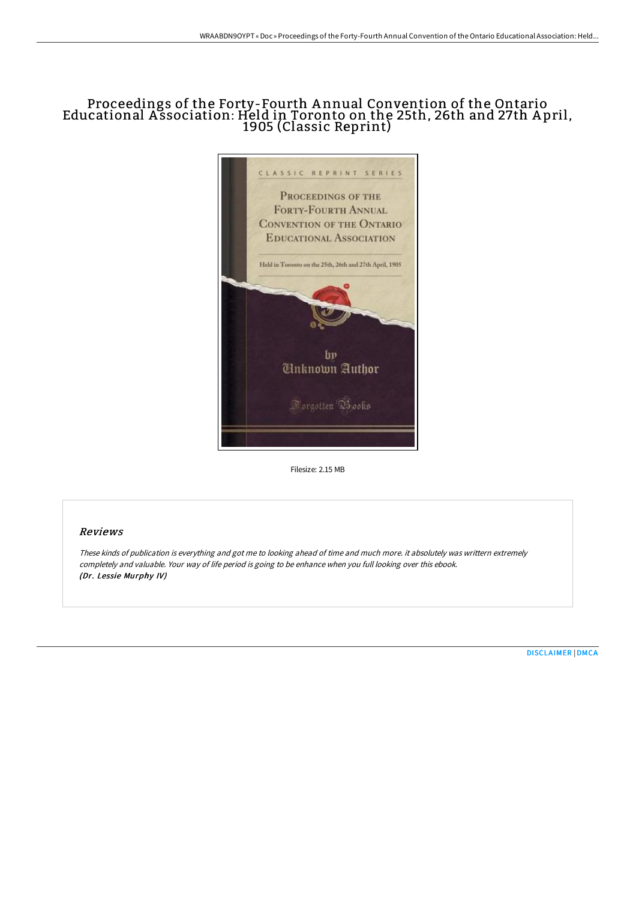# Proceedings of the Forty-Fourth A nnual Convention of the Ontario Educational A ssociation: Held in Toronto on the 25th, 26th and 27th A pril, 1905 (Classic Reprint)



Filesize: 2.15 MB

### Reviews

These kinds of publication is everything and got me to looking ahead of time and much more. it absolutely was writtern extremely completely and valuable. Your way of life period is going to be enhance when you full looking over this ebook. (Dr. Lessie Murphy IV)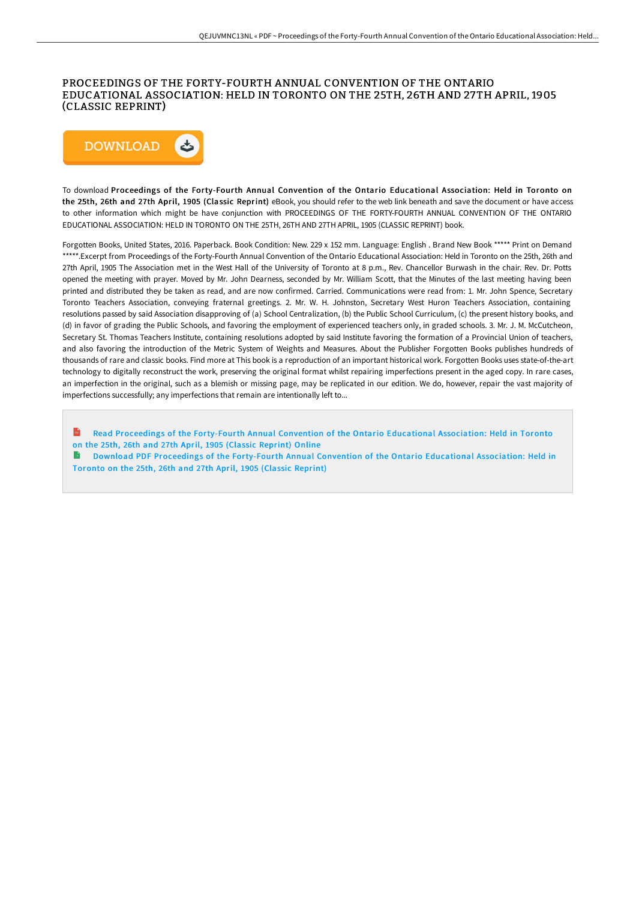### PROCEEDINGS OF THE FORTY-FOURTH ANNUAL CONVENTION OF THE ONTARIO EDUCATIONAL ASSOCIATION: HELD IN TORONTO ON THE 25TH, 26TH AND 27TH APRIL, 1905 (CLASSIC REPRINT)



To download Proceedings of the Forty-Fourth Annual Convention of the Ontario Educational Association: Held in Toronto on the 25th, 26th and 27th April, 1905 (Classic Reprint) eBook, you should refer to the web link beneath and save the document or have access to other information which might be have conjunction with PROCEEDINGS OF THE FORTY-FOURTH ANNUAL CONVENTION OF THE ONTARIO EDUCATIONAL ASSOCIATION: HELD IN TORONTO ON THE 25TH, 26TH AND 27TH APRIL, 1905 (CLASSIC REPRINT) book.

Forgotten Books, United States, 2016. Paperback. Book Condition: New. 229 x 152 mm. Language: English . Brand New Book \*\*\*\*\* Print on Demand \*\*\*\*\*.Excerpt from Proceedings of the Forty-Fourth Annual Convention of the Ontario Educational Association: Held in Toronto on the 25th, 26th and 27th April, 1905 The Association met in the West Hall of the University of Toronto at 8 p.m., Rev. Chancellor Burwash in the chair. Rev. Dr. Potts opened the meeting with prayer. Moved by Mr. John Dearness, seconded by Mr. William Scott, that the Minutes of the last meeting having been printed and distributed they be taken as read, and are now confirmed. Carried. Communications were read from: 1. Mr. John Spence, Secretary Toronto Teachers Association, conveying fraternal greetings. 2. Mr. W. H. Johnston, Secretary West Huron Teachers Association, containing resolutions passed by said Association disapproving of (a) School Centralization, (b) the Public School Curriculum, (c) the present history books, and (d) in favor of grading the Public Schools, and favoring the employment of experienced teachers only, in graded schools. 3. Mr. J. M. McCutcheon, Secretary St. Thomas Teachers Institute, containing resolutions adopted by said Institute favoring the formation of a Provincial Union of teachers, and also favoring the introduction of the Metric System of Weights and Measures. About the Publisher Forgotten Books publishes hundreds of thousands of rare and classic books. Find more at This book is a reproduction of an important historical work. Forgotten Books uses state-of-the-art technology to digitally reconstruct the work, preserving the original format whilst repairing imperfections present in the aged copy. In rare cases, an imperfection in the original, such as a blemish or missing page, may be replicated in our edition. We do, however, repair the vast majority of imperfections successfully; any imperfections that remain are intentionally left to...

 $\mathbf{m}$ Read Proceedings of the [Forty-Fourth](http://techno-pub.tech/proceedings-of-the-forty-fourth-annual-conventio.html) Annual Convention of the Ontario Educational Association: Held in Toronto on the 25th, 26th and 27th April, 1905 (Classic Reprint) Online

Download PDF Proceedings of the [Forty-Fourth](http://techno-pub.tech/proceedings-of-the-forty-fourth-annual-conventio.html) Annual Convention of the Ontario Educational Association: Held in Toronto on the 25th, 26th and 27th April, 1905 (Classic Reprint)